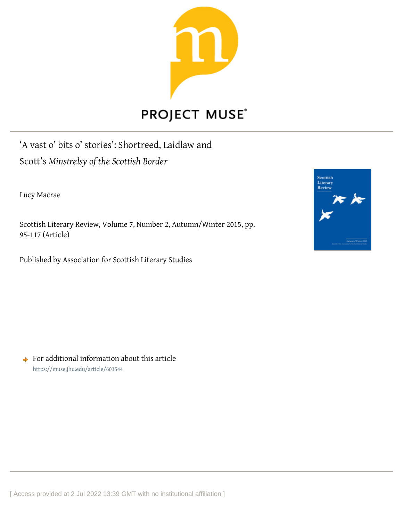

# **PROJECT MUSE®**

'A vast o' bits o' stories': Shortreed, Laidlaw and Scott's *Minstrelsy of the Scottish Border*

Lucy Macrae

Scottish Literary Review, Volume 7, Number 2, Autumn/Winter 2015, pp. 95-117 (Article)

Published by Association for Scottish Literary Studies



 $\rightarrow$  For additional information about this article <https://muse.jhu.edu/article/603544>

[ Access provided at 2 Jul 2022 13:39 GMT with no institutional affiliation ]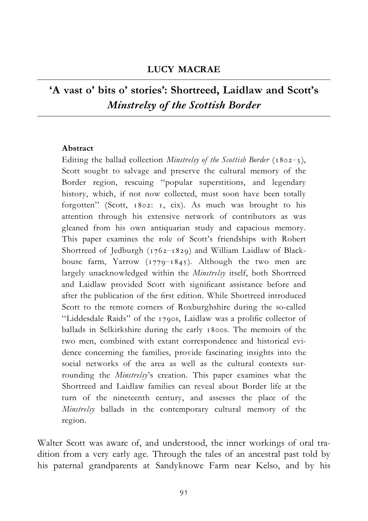#### LUCY MACRAE

## 'A vast o' bits o' stories': Shortreed, Laidlaw and Scott's Minstrelsy of the Scottish Border

#### Abstract

Editing the ballad collection *Minstrelsy of the Scottish Border* (1802-3), Scott sought to salvage and preserve the cultural memory of the Border region, rescuing ''popular superstitions, and legendary history, which, if not now collected, must soon have been totally forgotten'' (Scott, 1802: 1, cix). As much was brought to his attention through his extensive network of contributors as was gleaned from his own antiquarian study and capacious memory. This paper examines the role of Scott's friendships with Robert Shortreed of Jedburgh  $(1762-1829)$  and William Laidlaw of Blackhouse farm, Yarrow  $(1779-1845)$ . Although the two men are largely unacknowledged within the *Minstrelsy* itself, both Shortreed and Laidlaw provided Scott with significant assistance before and after the publication of the first edition. While Shortreed introduced Scott to the remote corners of Roxburghshire during the so-called "Liddesdale Raids" of the 1790s, Laidlaw was a prolific collector of ballads in Selkirkshire during the early 1800s. The memoirs of the two men, combined with extant correspondence and historical evidence concerning the families, provide fascinating insights into the social networks of the area as well as the cultural contexts surrounding the Minstrelsy's creation. This paper examines what the Shortreed and Laidlaw families can reveal about Border life at the turn of the nineteenth century, and assesses the place of the Minstrelsy ballads in the contemporary cultural memory of the region.

Walter Scott was aware of, and understood, the inner workings of oral tradition from a very early age. Through the tales of an ancestral past told by his paternal grandparents at Sandyknowe Farm near Kelso, and by his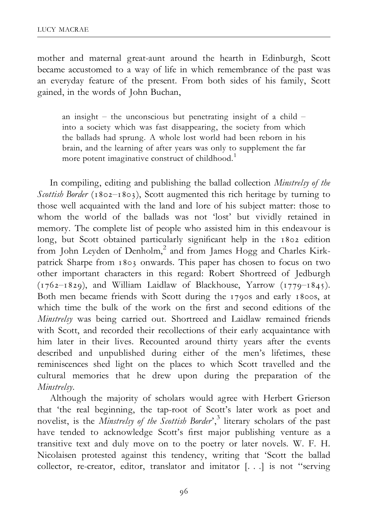mother and maternal great-aunt around the hearth in Edinburgh, Scott became accustomed to a way of life in which remembrance of the past was an everyday feature of the present. From both sides of his family, Scott gained, in the words of John Buchan,

an insight  $-$  the unconscious but penetrating insight of a child  $$ into a society which was fast disappearing, the society from which the ballads had sprung. A whole lost world had been reborn in his brain, and the learning of after years was only to supplement the far more potent imaginative construct of childhood.<sup>1</sup>

In compiling, editing and publishing the ballad collection Minstrelsy of the Scottish Border (1802–1803), Scott augmented this rich heritage by turning to those well acquainted with the land and lore of his subject matter: those to whom the world of the ballads was not 'lost' but vividly retained in memory. The complete list of people who assisted him in this endeavour is long, but Scott obtained particularly significant help in the 1802 edition from John Leyden of Denholm,<sup>2</sup> and from James Hogg and Charles Kirkpatrick Sharpe from 1803 onwards. This paper has chosen to focus on two other important characters in this regard: Robert Shortreed of Jedburgh  $(1762–1829)$ , and William Laidlaw of Blackhouse, Yarrow  $(1779–1845)$ . Both men became friends with Scott during the 1790s and early 1800s, at which time the bulk of the work on the first and second editions of the Minstrelsy was being carried out. Shortreed and Laidlaw remained friends with Scott, and recorded their recollections of their early acquaintance with him later in their lives. Recounted around thirty years after the events described and unpublished during either of the men's lifetimes, these reminiscences shed light on the places to which Scott travelled and the cultural memories that he drew upon during the preparation of the Minstrelsy.

Although the majority of scholars would agree with Herbert Grierson that 'the real beginning, the tap-root of Scott's later work as poet and novelist, is the *Minstrelsy of the Scottish Border'*,<sup>3</sup> literary scholars of the past have tended to acknowledge Scott's first major publishing venture as a transitive text and duly move on to the poetry or later novels. W. F. H. Nicolaisen protested against this tendency, writing that 'Scott the ballad collector, re-creator, editor, translator and imitator [. . .] is not ''serving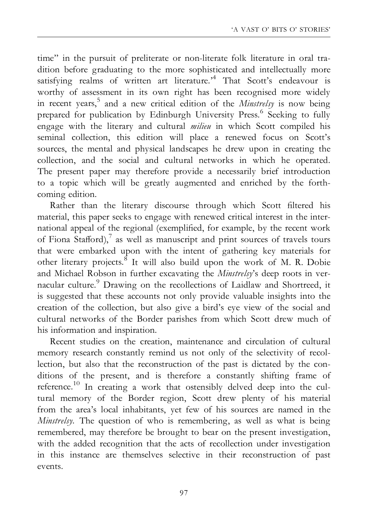time'' in the pursuit of preliterate or non-literate folk literature in oral tradition before graduating to the more sophisticated and intellectually more satisfying realms of written art literature.<sup>4</sup> That Scott's endeavour is worthy of assessment in its own right has been recognised more widely in recent years,<sup>5</sup> and a new critical edition of the *Minstrelsy* is now being prepared for publication by Edinburgh University Press.<sup>6</sup> Seeking to fully engage with the literary and cultural *milieu* in which Scott compiled his seminal collection, this edition will place a renewed focus on Scott's sources, the mental and physical landscapes he drew upon in creating the collection, and the social and cultural networks in which he operated. The present paper may therefore provide a necessarily brief introduction to a topic which will be greatly augmented and enriched by the forthcoming edition.

Rather than the literary discourse through which Scott filtered his material, this paper seeks to engage with renewed critical interest in the international appeal of the regional (exemplified, for example, by the recent work of Fiona Stafford), $^7$  as well as manuscript and print sources of travels tours that were embarked upon with the intent of gathering key materials for other literary projects.<sup>8</sup> It will also build upon the work of M. R. Dobie and Michael Robson in further excavating the Minstrelsy's deep roots in vernacular culture.<sup>9</sup> Drawing on the recollections of Laidlaw and Shortreed, it is suggested that these accounts not only provide valuable insights into the creation of the collection, but also give a bird's eye view of the social and cultural networks of the Border parishes from which Scott drew much of his information and inspiration.

Recent studies on the creation, maintenance and circulation of cultural memory research constantly remind us not only of the selectivity of recollection, but also that the reconstruction of the past is dictated by the conditions of the present, and is therefore a constantly shifting frame of reference.<sup>10</sup> In creating a work that ostensibly delved deep into the cultural memory of the Border region, Scott drew plenty of his material from the area's local inhabitants, yet few of his sources are named in the Minstrelsy. The question of who is remembering, as well as what is being remembered, may therefore be brought to bear on the present investigation, with the added recognition that the acts of recollection under investigation in this instance are themselves selective in their reconstruction of past events.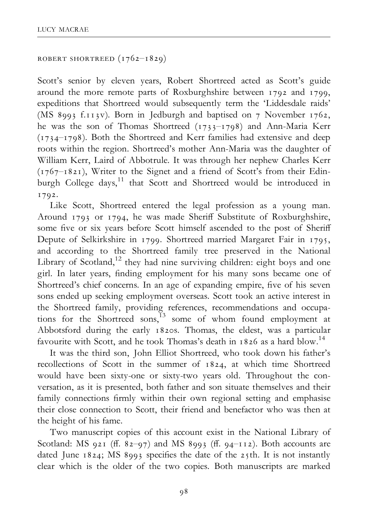```
ROBERT SHORTREED (1762 - 1829)
```
Scott's senior by eleven years, Robert Shortreed acted as Scott's guide around the more remote parts of Roxburghshire between 1792 and 1799, expeditions that Shortreed would subsequently term the 'Liddesdale raids' (MS 8993 f.113v). Born in Jedburgh and baptised on 7 November 1762, he was the son of Thomas Shortreed ( $1733$ <sup>-1798</sup>) and Ann-Maria Kerr  $(1734-1798)$ . Both the Shortreed and Kerr families had extensive and deep roots within the region. Shortreed's mother Ann-Maria was the daughter of William Kerr, Laird of Abbotrule. It was through her nephew Charles Kerr  $(1767 – 1821)$ , Writer to the Signet and a friend of Scott's from their Edinburgh College days, $11$  that Scott and Shortreed would be introduced in 1792.

Like Scott, Shortreed entered the legal profession as a young man. Around 1793 or 1794, he was made Sheriff Substitute of Roxburghshire, some five or six years before Scott himself ascended to the post of Sheriff Depute of Selkirkshire in 1799. Shortreed married Margaret Fair in 1795, and according to the Shortreed family tree preserved in the National Library of Scotland,<sup>12</sup> they had nine surviving children: eight boys and one girl. In later years, ¢nding employment for his many sons became one of Shortreed's chief concerns. In an age of expanding empire, five of his seven sons ended up seeking employment overseas. Scott took an active interest in the Shortreed family, providing references, recommendations and occupations for the Shortreed sons, $^{13}$  some of whom found employment at Abbotsford during the early 1820s. Thomas, the eldest, was a particular favourite with Scott, and he took Thomas's death in 1826 as a hard blow.14

It was the third son, John Elliot Shortreed, who took down his father's recollections of Scott in the summer of 1824, at which time Shortreed would have been sixty-one or sixty-two years old. Throughout the conversation, as it is presented, both father and son situate themselves and their family connections firmly within their own regional setting and emphasise their close connection to Scott, their friend and benefactor who was then at the height of his fame.

Two manuscript copies of this account exist in the National Library of Scotland: MS 921 (ff. 82-97) and MS 8993 (ff. 94-112). Both accounts are dated June  $1824$ ; MS 8993 specifies the date of the 25th. It is not instantly clear which is the older of the two copies. Both manuscripts are marked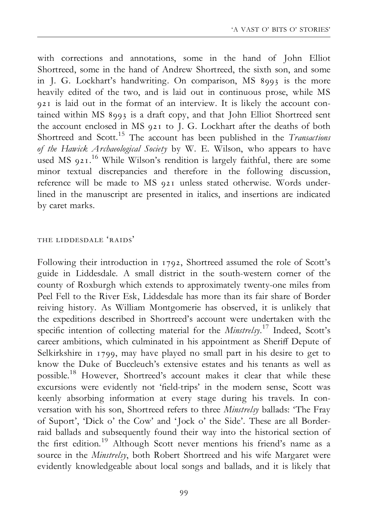with corrections and annotations, some in the hand of John Elliot Shortreed, some in the hand of Andrew Shortreed, the sixth son, and some in J. G. Lockhart's handwriting. On comparison, MS 8993 is the more heavily edited of the two, and is laid out in continuous prose, while MS 921 is laid out in the format of an interview. It is likely the account contained within MS 8993 is a draft copy, and that John Elliot Shortreed sent the account enclosed in MS 921 to J. G. Lockhart after the deaths of both Shortreed and Scott.<sup>15</sup> The account has been published in the Transactions of the Hawick Archaeological Society by W. E. Wilson, who appears to have used MS 921.<sup>16</sup> While Wilson's rendition is largely faithful, there are some minor textual discrepancies and therefore in the following discussion, reference will be made to MS 921 unless stated otherwise. Words underlined in the manuscript are presented in italics, and insertions are indicated by caret marks.

#### the liddesdale 'raids'

Following their introduction in 1792, Shortreed assumed the role of Scott's guide in Liddesdale. A small district in the south-western corner of the county of Roxburgh which extends to approximately twenty-one miles from Peel Fell to the River Esk, Liddesdale has more than its fair share of Border reiving history. As William Montgomerie has observed, it is unlikely that the expeditions described in Shortreed's account were undertaken with the specific intention of collecting material for the *Minstrelsy*.<sup>17</sup> Indeed, Scott's career ambitions, which culminated in his appointment as Sheriff Depute of Selkirkshire in 1799, may have played no small part in his desire to get to know the Duke of Buccleuch's extensive estates and his tenants as well as possible.18 However, Shortreed's account makes it clear that while these excursions were evidently not 'field-trips' in the modern sense, Scott was keenly absorbing information at every stage during his travels. In conversation with his son, Shortreed refers to three Minstrelsy ballads: 'The Fray of Suport', 'Dick o' the Cow' and 'Jock o' the Side'. These are all Borderraid ballads and subsequently found their way into the historical section of the first edition.<sup>19</sup> Although Scott never mentions his friend's name as a source in the Minstrelsy, both Robert Shortreed and his wife Margaret were evidently knowledgeable about local songs and ballads, and it is likely that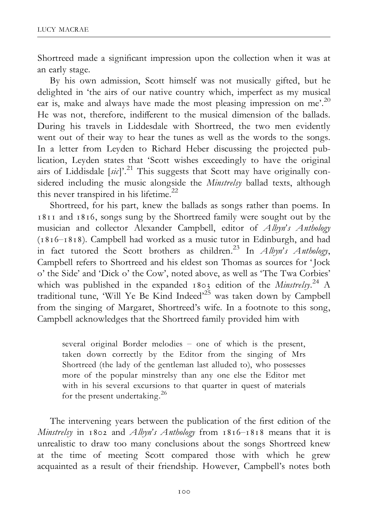Shortreed made a significant impression upon the collection when it was at an early stage.

By his own admission, Scott himself was not musically gifted, but he delighted in 'the airs of our native country which, imperfect as my musical ear is, make and always have made the most pleasing impression on me'.<sup>20</sup> He was not, therefore, indifferent to the musical dimension of the ballads. During his travels in Liddesdale with Shortreed, the two men evidently went out of their way to hear the tunes as well as the words to the songs. In a letter from Leyden to Richard Heber discussing the projected publication, Leyden states that 'Scott wishes exceedingly to have the original airs of Liddisdale  $[sic]$ <sup>21</sup> This suggests that Scott may have originally considered including the music alongside the Minstrelsy ballad texts, although this never transpired in his lifetime.<sup>22</sup>

Shortreed, for his part, knew the ballads as songs rather than poems. In 1811 and 1816, songs sung by the Shortreed family were sought out by the musician and collector Alexander Campbell, editor of Albyn's Anthology  $(1816 - 1818)$ . Campbell had worked as a music tutor in Edinburgh, and had in fact tutored the Scott brothers as children.<sup>23</sup> In Albyn's Anthology, Campbell refers to Shortreed and his eldest son Thomas as sources for 'Jock o' the Side' and 'Dick o' the Cow', noted above, as well as 'The Twa Corbies' which was published in the expanded 1803 edition of the *Minstrelsy*.<sup>24</sup> A traditional tune, 'Will Ye Be Kind Indeed'<sup>25</sup> was taken down by Campbell from the singing of Margaret, Shortreed's wife. In a footnote to this song, Campbell acknowledges that the Shortreed family provided him with

several original Border melodies - one of which is the present, taken down correctly by the Editor from the singing of Mrs Shortreed (the lady of the gentleman last alluded to), who possesses more of the popular minstrelsy than any one else the Editor met with in his several excursions to that quarter in quest of materials for the present undertaking.<sup>26</sup>

The intervening years between the publication of the first edition of the Minstrelsy in 1802 and Albyn's Anthology from  $1816-1818$  means that it is unrealistic to draw too many conclusions about the songs Shortreed knew at the time of meeting Scott compared those with which he grew acquainted as a result of their friendship. However, Campbell's notes both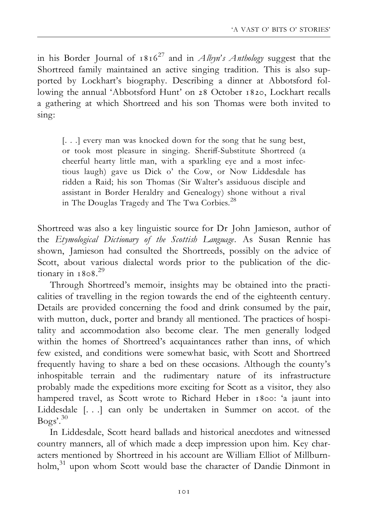in his Border Journal of  $1816^{27}$  and in *Albyn's Anthology* suggest that the Shortreed family maintained an active singing tradition. This is also supported by Lockhart's biography. Describing a dinner at Abbotsford following the annual 'Abbotsford Hunt' on 28 October 1820, Lockhart recalls a gathering at which Shortreed and his son Thomas were both invited to sing:

[...] every man was knocked down for the song that he sung best, or took most pleasure in singing. Sheriff-Substitute Shortreed (a cheerful hearty little man, with a sparkling eye and a most infectious laugh) gave us Dick o' the Cow, or Now Liddesdale has ridden a Raid; his son Thomas (Sir Walter's assiduous disciple and assistant in Border Heraldry and Genealogy) shone without a rival in The Douglas Tragedy and The Twa Corbies.<sup>28</sup>

Shortreed was also a key linguistic source for Dr John Jamieson, author of the Etymological Dictionary of the Scottish Language. As Susan Rennie has shown, Jamieson had consulted the Shortreeds, possibly on the advice of Scott, about various dialectal words prior to the publication of the dictionary in 1808. 29

Through Shortreed's memoir, insights may be obtained into the practicalities of travelling in the region towards the end of the eighteenth century. Details are provided concerning the food and drink consumed by the pair, with mutton, duck, porter and brandy all mentioned. The practices of hospitality and accommodation also become clear. The men generally lodged within the homes of Shortreed's acquaintances rather than inns, of which few existed, and conditions were somewhat basic, with Scott and Shortreed frequently having to share a bed on these occasions. Although the county's inhospitable terrain and the rudimentary nature of its infrastructure probably made the expeditions more exciting for Scott as a visitor, they also hampered travel, as Scott wrote to Richard Heber in 1800: 'a jaunt into Liddesdale [. . .] can only be undertaken in Summer on accot. of the Bogs'.30

In Liddesdale, Scott heard ballads and historical anecdotes and witnessed country manners, all of which made a deep impression upon him. Key characters mentioned by Shortreed in his account are William Elliot of Millburnholm,<sup>31</sup> upon whom Scott would base the character of Dandie Dinmont in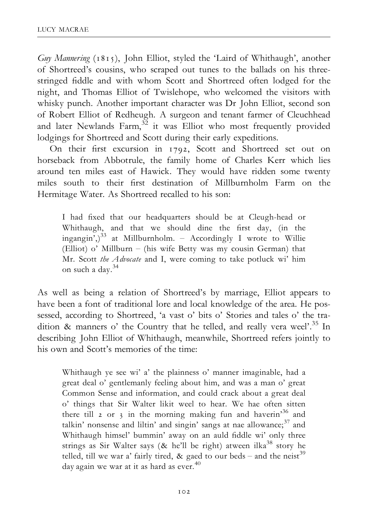Guy Mannering (1815), John Elliot, styled the 'Laird of Whithaugh', another of Shortreed's cousins, who scraped out tunes to the ballads on his threestringed fiddle and with whom Scott and Shortreed often lodged for the night, and Thomas Elliot of Twislehope, who welcomed the visitors with whisky punch. Another important character was Dr John Elliot, second son of Robert Elliot of Redheugh. A surgeon and tenant farmer of Cleuchhead and later Newlands Farm,  $32$  it was Elliot who most frequently provided lodgings for Shortreed and Scott during their early expeditions.

On their first excursion in 1792, Scott and Shortreed set out on horseback from Abbotrule, the family home of Charles Kerr which lies around ten miles east of Hawick. They would have ridden some twenty miles south to their ¢rst destination of Millburnholm Farm on the Hermitage Water. As Shortreed recalled to his son:

I had fixed that our headquarters should be at Cleugh-head or Whithaugh, and that we should dine the first day, (in the ingangin',)<sup>33</sup> at Millburnholm. - Accordingly I wrote to Willie (Elliot) o' Millburn  $-$  (his wife Betty was my cousin German) that Mr. Scott the Advocate and I, were coming to take potluck wi' him on such a day.<sup>34</sup>

As well as being a relation of Shortreed's by marriage, Elliot appears to have been a font of traditional lore and local knowledge of the area. He possessed, according to Shortreed, 'a vast o' bits o' Stories and tales o' the tradition & manners o' the Country that he telled, and really vera weel'.<sup>35</sup> In describing John Elliot of Whithaugh, meanwhile, Shortreed refers jointly to his own and Scott's memories of the time:

Whithaugh ye see wi' a' the plainness o' manner imaginable, had a great deal o' gentlemanly feeling about him, and was a man o' great Common Sense and information, and could crack about a great deal o' things that Sir Walter likit weel to hear. We hae often sitten there till 2 or 3 in the morning making fun and haverin'<sup>36</sup> and talkin' nonsense and liltin' and singin' sangs at nae allowance;<sup>37</sup> and Whithaugh himsel' bummin' away on an auld fiddle wi' only three strings as Sir Walter says (& he'll be right) atween ilka<sup>38</sup> story he telled, till we war a' fairly tired, & gaed to our beds – and the neist<sup>39</sup> day again we war at it as hard as ever.<sup>40</sup>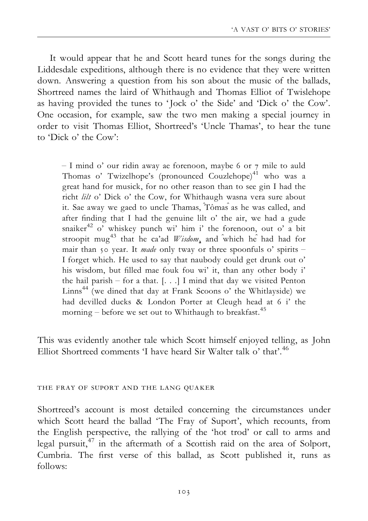It would appear that he and Scott heard tunes for the songs during the Liddesdale expeditions, although there is no evidence that they were written down. Answering a question from his son about the music of the ballads, Shortreed names the laird of Whithaugh and Thomas Elliot of Twislehope as having provided the tunes to 'Jock o' the Side' and 'Dick o' the Cow'. One occasion, for example, saw the two men making a special journey in order to visit Thomas Elliot, Shortreed's 'Uncle Thamas', to hear the tune to 'Dick o' the Cow':

 $-$  I mind o' our ridin away ae forenoon, maybe 6 or 7 mile to auld Thomas o' Twizelhope's (pronounced Couzlehope)<sup>41</sup> who was a great hand for musick, for no other reason than to see gin I had the richt lilt o' Dick o' the Cow, for Whithaugh wasna vera sure about it. Sae away we gaed to uncle Thamas, Tômas as he was called, and after finding that I had the genuine lilt o' the air, we had a gude snaiker $42$  o' whiskey punch wi' him i' the forenoon, out o' a bit stroopit mug<sup>43</sup> that he ca'ad *Wisdom*, and which he had had for mair than 50 year. It made only tway or three spoonfuls  $o'$  spirits  $-$ I forget which. He used to say that naubody could get drunk out o' his wisdom, but ¢lled mae fouk fou wi' it, than any other body i' the hail parish  $-$  for a that.  $[...]$  I mind that day we visited Penton  $Linns<sup>44</sup>$  (we dined that day at Frank Scoons o' the Whitlayside) we had devilled ducks & London Porter at Cleugh head at 6 i' the morning – before we set out to Whithaugh to breakfast.<sup>45</sup>

This was evidently another tale which Scott himself enjoyed telling, as John Elliot Shortreed comments 'I have heard Sir Walter talk o' that'.46

#### the fray of suport and the lang quaker

Shortreed's account is most detailed concerning the circumstances under which Scott heard the ballad 'The Fray of Suport', which recounts, from the English perspective, the rallying of the 'hot trod' or call to arms and legal pursuit,47 in the aftermath of a Scottish raid on the area of Solport, Cumbria. The first verse of this ballad, as Scott published it, runs as follows: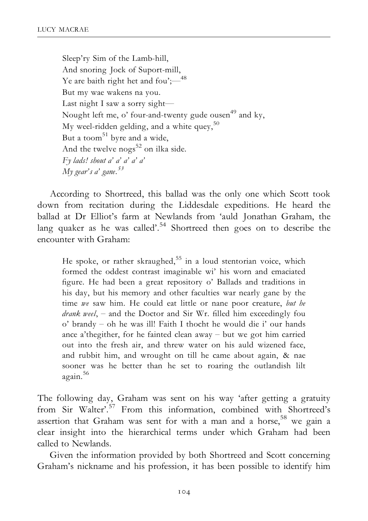Sleep'ry Sim of the Lamb-hill, And snoring Jock of Suport-mill, Ye are baith right het and fou';— $^{48}$ But my wae wakens na you. Last night I saw a sorry sight— Nought left me, o' four-and-twenty gude ousen<sup>49</sup> and ky, My weel-ridden gelding, and a white quey,  $50$ But a toom<sup>51</sup> byre and a wide, And the twelve  $nogs<sup>52</sup>$  on ilka side. Fy lads! shout a' a' a' a' a' My gear's a' gane.<sup>53</sup>

According to Shortreed, this ballad was the only one which Scott took down from recitation during the Liddesdale expeditions. He heard the ballad at Dr Elliot's farm at Newlands from 'auld Jonathan Graham, the lang quaker as he was called'.<sup>54</sup> Shortreed then goes on to describe the encounter with Graham:

He spoke, or rather skraughed,  $55$  in a loud stentorian voice, which formed the oddest contrast imaginable wi' his worn and emaciated figure. He had been a great repository o' Ballads and traditions in his day, but his memory and other faculties war nearly gane by the time we saw him. He could eat little or nane poor creature, but he *drank weel*,  $-$  and the Doctor and Sir Wr. filled him exceedingly fou o' brandy - oh he was ill! Faith I thocht he would die i' our hands ance a'thegither, for he fainted clean away  $-$  but we got him carried out into the fresh air, and threw water on his auld wizened face, and rubbit him, and wrought on till he came about again, & nae sooner was he better than he set to roaring the outlandish lilt again.<sup>56</sup>

The following day, Graham was sent on his way 'after getting a gratuity from Sir Walter'.<sup>57</sup> From this information, combined with Shortreed's assertion that Graham was sent for with a man and a horse,<sup>58</sup> we gain a clear insight into the hierarchical terms under which Graham had been called to Newlands.

Given the information provided by both Shortreed and Scott concerning Graham's nickname and his profession, it has been possible to identify him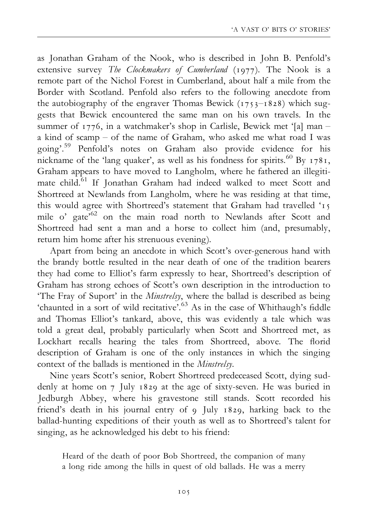as Jonathan Graham of the Nook, who is described in John B. Penfold's extensive survey The Clockmakers of Cumberland (1977). The Nook is a remote part of the Nichol Forest in Cumberland, about half a mile from the Border with Scotland. Penfold also refers to the following anecdote from the autobiography of the engraver Thomas Bewick  $(1753 - 1828)$  which suggests that Bewick encountered the same man on his own travels. In the summer of 1776, in a watchmaker's shop in Carlisle, Bewick met '[a] man a kind of scamp  $-$  of the name of Graham, who asked me what road I was going'.59 Penfold's notes on Graham also provide evidence for his nickname of the 'lang quaker', as well as his fondness for spirits.<sup>60</sup> By  $1781$ , Graham appears to have moved to Langholm, where he fathered an illegitimate child.<sup>61</sup> If Jonathan Graham had indeed walked to meet Scott and Shortreed at Newlands from Langholm, where he was residing at that time, this would agree with Shortreed's statement that Graham had travelled '15 mile o' gate<sup>562</sup> on the main road north to Newlands after Scott and Shortreed had sent a man and a horse to collect him (and, presumably, return him home after his strenuous evening).

Apart from being an anecdote in which Scott's over-generous hand with the brandy bottle resulted in the near death of one of the tradition bearers they had come to Elliot's farm expressly to hear, Shortreed's description of Graham has strong echoes of Scott's own description in the introduction to 'The Fray of Suport' in the Minstrelsy, where the ballad is described as being 'chaunted in a sort of wild recitative'.<sup>63</sup> As in the case of Whithaugh's fiddle and Thomas Elliot's tankard, above, this was evidently a tale which was told a great deal, probably particularly when Scott and Shortreed met, as Lockhart recalls hearing the tales from Shortreed, above. The florid description of Graham is one of the only instances in which the singing context of the ballads is mentioned in the Minstrelsy.

Nine years Scott's senior, Robert Shortreed predeceased Scott, dying suddenly at home on 7 July 1829 at the age of sixty-seven. He was buried in Jedburgh Abbey, where his gravestone still stands. Scott recorded his friend's death in his journal entry of 9 July 1829, harking back to the ballad-hunting expeditions of their youth as well as to Shortreed's talent for singing, as he acknowledged his debt to his friend:

Heard of the death of poor Bob Shortreed, the companion of many a long ride among the hills in quest of old ballads. He was a merry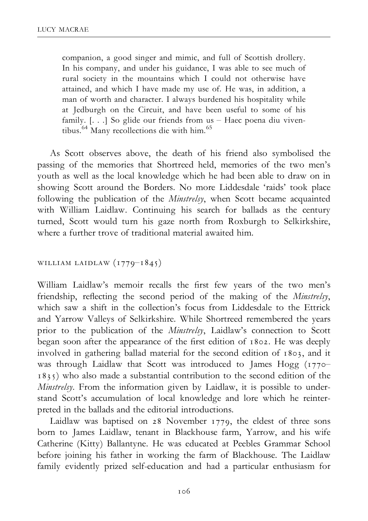companion, a good singer and mimic, and full of Scottish drollery. In his company, and under his guidance, I was able to see much of rural society in the mountains which I could not otherwise have attained, and which I have made my use of. He was, in addition, a man of worth and character. I always burdened his hospitality while at Jedburgh on the Circuit, and have been useful to some of his family.  $[...]$  So glide our friends from us  $-$  Haec poena diu viventibus.64 Many recollections die with him.<sup>65</sup>

As Scott observes above, the death of his friend also symbolised the passing of the memories that Shortreed held, memories of the two men's youth as well as the local knowledge which he had been able to draw on in showing Scott around the Borders. No more Liddesdale 'raids' took place following the publication of the Minstrelsy, when Scott became acquainted with William Laidlaw. Continuing his search for ballads as the century turned, Scott would turn his gaze north from Roxburgh to Selkirkshire, where a further trove of traditional material awaited him.

WILLIAM LAIDLAW  $(1779 - 1845)$ 

William Laidlaw's memoir recalls the first few years of the two men's friendship, reflecting the second period of the making of the *Minstrelsy*, which saw a shift in the collection's focus from Liddesdale to the Ettrick and Yarrow Valleys of Selkirkshire. While Shortreed remembered the years prior to the publication of the Minstrelsy, Laidlaw's connection to Scott began soon after the appearance of the first edition of 1802. He was deeply involved in gathering ballad material for the second edition of 1803, and it was through Laidlaw that Scott was introduced to James Hogg (1770<sup>-</sup> 1835) who also made a substantial contribution to the second edition of the Minstrelsy. From the information given by Laidlaw, it is possible to understand Scott's accumulation of local knowledge and lore which he reinterpreted in the ballads and the editorial introductions.

Laidlaw was baptised on 28 November 1779, the eldest of three sons born to James Laidlaw, tenant in Blackhouse farm, Yarrow, and his wife Catherine (Kitty) Ballantyne. He was educated at Peebles Grammar School before joining his father in working the farm of Blackhouse. The Laidlaw family evidently prized self-education and had a particular enthusiasm for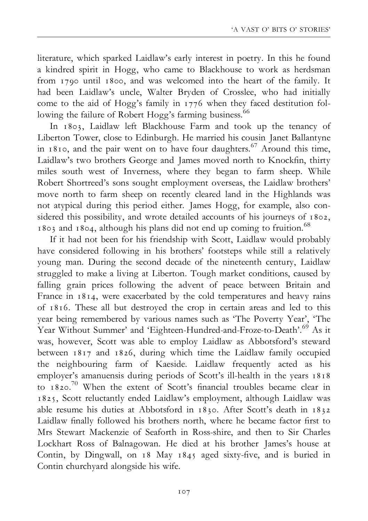literature, which sparked Laidlaw's early interest in poetry. In this he found a kindred spirit in Hogg, who came to Blackhouse to work as herdsman from 1790 until 1800, and was welcomed into the heart of the family. It had been Laidlaw's uncle, Walter Bryden of Crosslee, who had initially come to the aid of Hogg's family in 1776 when they faced destitution following the failure of Robert Hogg's farming business.<sup>66</sup>

In 1803, Laidlaw left Blackhouse Farm and took up the tenancy of Liberton Tower, close to Edinburgh. He married his cousin Janet Ballantyne in 1810, and the pair went on to have four daughters.<sup>67</sup> Around this time, Laidlaw's two brothers George and James moved north to Knockfin, thirty miles south west of Inverness, where they began to farm sheep. While Robert Shortreed's sons sought employment overseas, the Laidlaw brothers' move north to farm sheep on recently cleared land in the Highlands was not atypical during this period either. James Hogg, for example, also considered this possibility, and wrote detailed accounts of his journeys of 1802, 1803 and 1804, although his plans did not end up coming to fruition.68

If it had not been for his friendship with Scott, Laidlaw would probably have considered following in his brothers' footsteps while still a relatively young man. During the second decade of the nineteenth century, Laidlaw struggled to make a living at Liberton. Tough market conditions, caused by falling grain prices following the advent of peace between Britain and France in 1814, were exacerbated by the cold temperatures and heavy rains of 1816. These all but destroyed the crop in certain areas and led to this year being remembered by various names such as 'The Poverty Year', 'The Year Without Summer' and 'Eighteen-Hundred-and-Froze-to-Death'.<sup>69</sup> As it was, however, Scott was able to employ Laidlaw as Abbotsford's steward between 1817 and 1826, during which time the Laidlaw family occupied the neighbouring farm of Kaeside. Laidlaw frequently acted as his employer's amanuensis during periods of Scott's ill-health in the years 1818 to 1820.<sup>70</sup> When the extent of Scott's financial troubles became clear in 1825, Scott reluctantly ended Laidlaw's employment, although Laidlaw was able resume his duties at Abbotsford in 1830. After Scott's death in 1832 Laidlaw finally followed his brothers north, where he became factor first to Mrs Stewart Mackenzie of Seaforth in Ross-shire, and then to Sir Charles Lockhart Ross of Balnagowan. He died at his brother James's house at Contin, by Dingwall, on 18 May 1845 aged sixty-five, and is buried in Contin churchyard alongside his wife.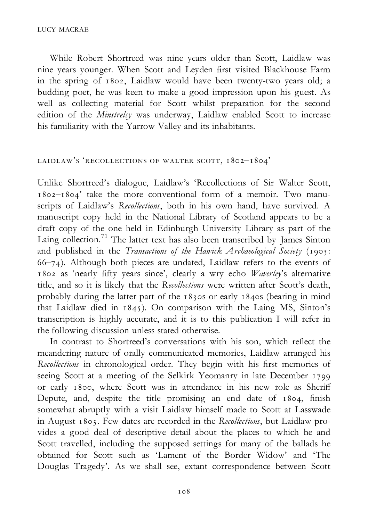While Robert Shortreed was nine years older than Scott, Laidlaw was nine years younger. When Scott and Leyden first visited Blackhouse Farm in the spring of 1802, Laidlaw would have been twenty-two years old; a budding poet, he was keen to make a good impression upon his guest. As well as collecting material for Scott whilst preparation for the second edition of the Minstrelsy was underway, Laidlaw enabled Scott to increase his familiarity with the Yarrow Valley and its inhabitants.

#### LAIDLAW'S 'RECOLLECTIONS OF WALTER SCOTT, 1802-1804'

Unlike Shortreed's dialogue, Laidlaw's 'Recollections of Sir Walter Scott,  $1802-1804'$  take the more conventional form of a memoir. Two manuscripts of Laidlaw's Recollections, both in his own hand, have survived. A manuscript copy held in the National Library of Scotland appears to be a draft copy of the one held in Edinburgh University Library as part of the Laing collection.<sup>71</sup> The latter text has also been transcribed by James Sinton and published in the Transactions of the Hawick Archaeological Society (1905:  $66-74$ ). Although both pieces are undated, Laidlaw refers to the events of 1802 as 'nearly ¢fty years since', clearly a wry echo Waverley's alternative title, and so it is likely that the Recollections were written after Scott's death, probably during the latter part of the 1830s or early 1840s (bearing in mind that Laidlaw died in 1845). On comparison with the Laing MS, Sinton's transcription is highly accurate, and it is to this publication I will refer in the following discussion unless stated otherwise.

In contrast to Shortreed's conversations with his son, which reflect the meandering nature of orally communicated memories, Laidlaw arranged his Recollections in chronological order. They begin with his first memories of seeing Scott at a meeting of the Selkirk Yeomanry in late December 1799 or early 1800, where Scott was in attendance in his new role as Sheriff Depute, and, despite the title promising an end date of 1804, finish somewhat abruptly with a visit Laidlaw himself made to Scott at Lasswade in August 1803. Few dates are recorded in the Recollections, but Laidlaw provides a good deal of descriptive detail about the places to which he and Scott travelled, including the supposed settings for many of the ballads he obtained for Scott such as 'Lament of the Border Widow' and 'The Douglas Tragedy'. As we shall see, extant correspondence between Scott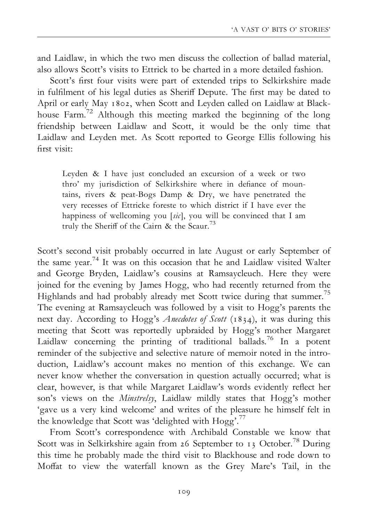and Laidlaw, in which the two men discuss the collection of ballad material, also allows Scott's visits to Ettrick to be charted in a more detailed fashion.

Scott's first four visits were part of extended trips to Selkirkshire made in fulfilment of his legal duties as Sheriff Depute. The first may be dated to April or early May 1802, when Scott and Leyden called on Laidlaw at Blackhouse Farm.72 Although this meeting marked the beginning of the long friendship between Laidlaw and Scott, it would be the only time that Laidlaw and Leyden met. As Scott reported to George Ellis following his ¢rst visit:

Leyden & I have just concluded an excursion of a week or two thro' my jurisdiction of Selkirkshire where in defiance of mountains, rivers & peat-Bogs Damp & Dry, we have penetrated the very recesses of Ettricke foreste to which district if I have ever the happiness of wellcoming you [sic], you will be convinced that I am truly the Sheriff of the Cairn & the Scaur<sup>73</sup>

Scott's second visit probably occurred in late August or early September of the same year.74 It was on this occasion that he and Laidlaw visited Walter and George Bryden, Laidlaw's cousins at Ramsaycleuch. Here they were joined for the evening by James Hogg, who had recently returned from the Highlands and had probably already met Scott twice during that summer.<sup>75</sup> The evening at Ramsaycleuch was followed by a visit to Hogg's parents the next day. According to Hogg's *Anecdotes of Scott* (1834), it was during this meeting that Scott was reportedly upbraided by Hogg's mother Margaret Laidlaw concerning the printing of traditional ballads.<sup>76</sup> In a potent reminder of the subjective and selective nature of memoir noted in the introduction, Laidlaw's account makes no mention of this exchange. We can never know whether the conversation in question actually occurred; what is clear, however, is that while Margaret Laidlaw's words evidently reflect her son's views on the Minstrelsy, Laidlaw mildly states that Hogg's mother 'gave us a very kind welcome' and writes of the pleasure he himself felt in the knowledge that Scott was 'delighted with Hogg'.<sup>77</sup>

From Scott's correspondence with Archibald Constable we know that Scott was in Selkirkshire again from 26 September to 13 October.<sup>78</sup> During this time he probably made the third visit to Blackhouse and rode down to Moffat to view the waterfall known as the Grey Mare's Tail, in the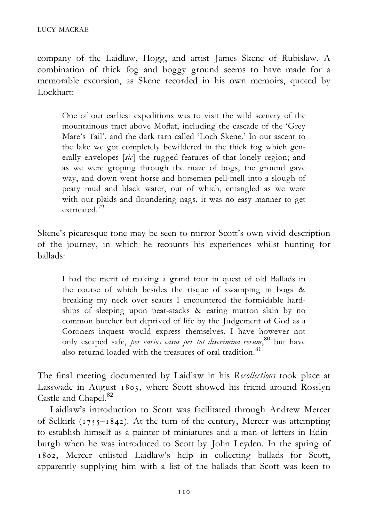company of the Laidlaw, Hogg, and artist James Skene of Rubislaw. A combination of thick fog and boggy ground seems to have made for a memorable excursion, as Skene recorded in his own memoirs, quoted by Lockhart:

One of our earliest expeditions was to visit the wild scenery of the mountainous tract above Moffat, including the cascade of the 'Grey Mare's Tail', and the dark tarn called 'Loch Skene.' In our ascent to the lake we got completely bewildered in the thick fog which generally envelopes [sic] the rugged features of that lonely region; and as we were groping through the maze of bogs, the ground gave way, and down went horse and horsemen pell-mell into a slough of peaty mud and black water, out of which, entangled as we were with our plaids and floundering nags, it was no easy manner to get extricated.79

Skene's picaresque tone may be seen to mirror Scott's own vivid description of the journey, in which he recounts his experiences whilst hunting for ballads:

I had the merit of making a grand tour in quest of old Ballads in the course of which besides the risque of swamping in bogs & breaking my neck over scaurs I encountered the formidable hardships of sleeping upon peat-stacks & eating mutton slain by no common butcher but deprived of life by the Judgement of God as a Coroners inquest would express themselves. I have however not only escaped safe, per varios casus per tot discrimina rerum, 80 but have also returnd loaded with the treasures of oral tradition.<sup>81</sup>

The final meeting documented by Laidlaw in his Recollections took place at Lasswade in August 1803, where Scott showed his friend around Rosslyn Castle and Chapel.<sup>82</sup>

Laidlaw's introduction to Scott was facilitated through Andrew Mercer of Selkirk  $(1755 - 1842)$ . At the turn of the century, Mercer was attempting to establish himself as a painter of miniatures and a man of letters in Edinburgh when he was introduced to Scott by John Leyden. In the spring of 1802, Mercer enlisted Laidlaw's help in collecting ballads for Scott, apparently supplying him with a list of the ballads that Scott was keen to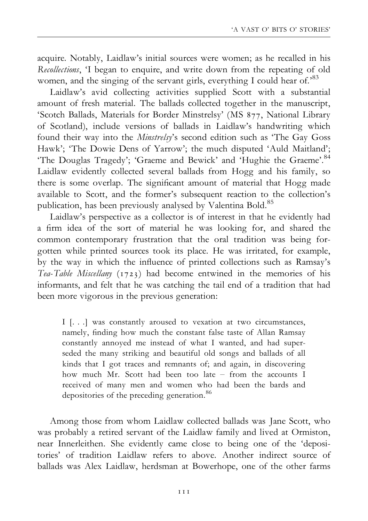acquire. Notably, Laidlaw's initial sources were women; as he recalled in his Recollections, 'I began to enquire, and write down from the repeating of old women, and the singing of the servant girls, everything I could hear of.<sup>83</sup>

Laidlaw's avid collecting activities supplied Scott with a substantial amount of fresh material. The ballads collected together in the manuscript, 'Scotch Ballads, Materials for Border Minstrelsy' (MS 877, National Library of Scotland), include versions of ballads in Laidlaw's handwriting which found their way into the Minstrelsy's second edition such as 'The Gay Goss Hawk'; 'The Dowie Dens of Yarrow'; the much disputed 'Auld Maitland'; 'The Douglas Tragedy'; 'Graeme and Bewick' and 'Hughie the Graeme'.<sup>84</sup> Laidlaw evidently collected several ballads from Hogg and his family, so there is some overlap. The significant amount of material that Hogg made available to Scott, and the former's subsequent reaction to the collection's publication, has been previously analysed by Valentina Bold.<sup>85</sup>

Laidlaw's perspective as a collector is of interest in that he evidently had a firm idea of the sort of material he was looking for, and shared the common contemporary frustration that the oral tradition was being forgotten while printed sources took its place. He was irritated, for example, by the way in which the influence of printed collections such as Ramsay's Tea-Table Miscellany (1723) had become entwined in the memories of his informants, and felt that he was catching the tail end of a tradition that had been more vigorous in the previous generation:

I [. . .] was constantly aroused to vexation at two circumstances, namely, finding how much the constant false taste of Allan Ramsay constantly annoyed me instead of what I wanted, and had superseded the many striking and beautiful old songs and ballads of all kinds that I got traces and remnants of; and again, in discovering how much Mr. Scott had been too late - from the accounts I received of many men and women who had been the bards and depositories of the preceding generation.<sup>86</sup>

Among those from whom Laidlaw collected ballads was Jane Scott, who was probably a retired servant of the Laidlaw family and lived at Ormiston, near Innerleithen. She evidently came close to being one of the 'depositories' of tradition Laidlaw refers to above. Another indirect source of ballads was Alex Laidlaw, herdsman at Bowerhope, one of the other farms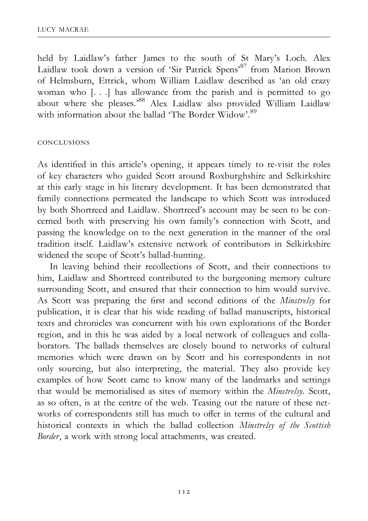held by Laidlaw's father James to the south of St Mary's Loch. Alex Laidlaw took down a version of 'Sir Patrick Spens'87 from Marion Brown of Helmsburn, Ettrick, whom William Laidlaw described as 'an old crazy woman who [. . .] has allowance from the parish and is permitted to go about where she pleases.'88 Alex Laidlaw also provided William Laidlaw with information about the ballad 'The Border Widow'.<sup>89</sup>

#### conclusions

As identified in this article's opening, it appears timely to re-visit the roles of key characters who guided Scott around Roxburghshire and Selkirkshire at this early stage in his literary development. It has been demonstrated that family connections permeated the landscape to which Scott was introduced by both Shortreed and Laidlaw. Shortreed's account may be seen to be concerned both with preserving his own family's connection with Scott, and passing the knowledge on to the next generation in the manner of the oral tradition itself. Laidlaw's extensive network of contributors in Selkirkshire widened the scope of Scott's ballad-hunting.

In leaving behind their recollections of Scott, and their connections to him, Laidlaw and Shortreed contributed to the burgeoning memory culture surrounding Scott, and ensured that their connection to him would survive. As Scott was preparing the first and second editions of the Minstrelsy for publication, it is clear that his wide reading of ballad manuscripts, historical texts and chronicles was concurrent with his own explorations of the Border region, and in this he was aided by a local network of colleagues and collaborators. The ballads themselves are closely bound to networks of cultural memories which were drawn on by Scott and his correspondents in not only sourcing, but also interpreting, the material. They also provide key examples of how Scott came to know many of the landmarks and settings that would be memorialised as sites of memory within the Minstrelsy. Scott, as so often, is at the centre of the web. Teasing out the nature of these networks of correspondents still has much to offer in terms of the cultural and historical contexts in which the ballad collection Minstrelsy of the Scottish Border, a work with strong local attachments, was created.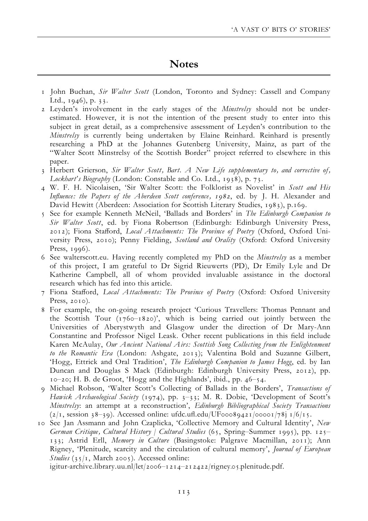### **Notes**

- 1 John Buchan, Sir Walter Scott (London, Toronto and Sydney: Cassell and Company Ltd., 1946), p. 33.
- 2 Leyden's involvement in the early stages of the Minstrelsy should not be underestimated. However, it is not the intention of the present study to enter into this subject in great detail, as a comprehensive assessment of Leyden's contribution to the Minstrelsy is currently being undertaken by Elaine Reinhard. Reinhard is presently researching a PhD at the Johannes Gutenberg University, Mainz, as part of the ''Walter Scott Minstrelsy of the Scottish Border'' project referred to elsewhere in this paper.
- 3 Herbert Grierson, Sir Walter Scott, Bart. A New Life supplementary to, and corrective of, Lockhart's Biography (London: Constable and Co. Ltd., 1938), p. 73.
- 4 W. F. H. Nicolaisen, 'Sir Walter Scott: the Folklorist as Novelist' in Scott and His Influence: the Papers of the Aberdeen Scott conference, 1982, ed. by J. H. Alexander and David Hewitt (Aberdeen: Association for Scottish Literary Studies, 1983), p.169.
- 5 See for example Kenneth McNeil, 'Ballads and Borders' in The Edinburgh Companion to Sir Walter Scott, ed. by Fiona Robertson (Edinburgh: Edinburgh University Press, 2012); Fiona Stafford, Local Attachments: The Province of Poetry (Oxford, Oxford University Press, 2010); Penny Fielding, Scotland and Orality (Oxford: Oxford University Press, 1996).
- 6 See walterscott.eu. Having recently completed my PhD on the Minstrelsy as a member of this project, I am grateful to Dr Sigrid Rieuwerts (PD), Dr Emily Lyle and Dr Katherine Campbell, all of whom provided invaluable assistance in the doctoral research which has fed into this article.
- 7 Fiona Stafford, Local Attachments: The Province of Poetry (Oxford: Oxford University Press, 2010).
- 8 For example, the on-going research project 'Curious Travellers: Thomas Pennant and the Scottish Tour  $(1760-1820)$ ', which is being carried out jointly between the Universities of Aberystwyth and Glasgow under the direction of Dr Mary-Ann Constantine and Professor Nigel Leask. Other recent publications in this field include Karen McAulay, Our Ancient National Airs: Scottish Song Collecting from the Enlightenment to the Romantic Era (London: Ashgate, 2013); Valentina Bold and Suzanne Gilbert, 'Hogg, Ettrick and Oral Tradition', The Edinburgh Companion to James Hogg, ed. by Ian Duncan and Douglas S Mack (Edinburgh: Edinburgh University Press, 2012), pp.  $10$ –20; H. B. de Groot, 'Hogg and the Highlands', ibid., pp.  $46$ –54.
- 9 Michael Robson, 'Walter Scott's Collecting of Ballads in the Borders', Transactions of Hawick Archaeological Society (1974), pp. 3-33; M. R. Dobie, 'Development of Scott's Minstrelsy: an attempt at a reconstruction', Edinburgh Bibliographical Society Transactions  $(2/1, s_{0.39})$ . Accessed online: ufdc.ufl.edu/UF00089421/00001/78j 1/6/15.
- 10 See Jan Assmann and John Czaplicka, 'Collective Memory and Cultural Identity', New German Critique, Cultural History / Cultural Studies (65, Spring-Summer 1995), pp. 125– 133; Astrid Erll, Memory in Culture (Basingstoke: Palgrave Macmillan, 2011); Ann Rigney, 'Plenitude, scarcity and the circulation of cultural memory', Journal of European Studies ( $35/1$ , March 2005). Accessed online:

igitur-archive.library.uu.nl/let/2006-1214-212422/rigney.05.plenitude.pdf.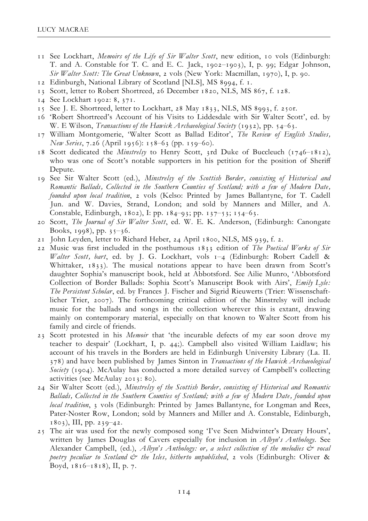- 11 See Lockhart, Memoirs of the Life of Sir Walter Scott, new edition, 10 vols (Edinburgh: T. and A. Constable for T. C. and E. C. Jack,  $1902-1903$ ), I, p. 99; Edgar Johnson, Sir Walter Scott: The Great Unknown, 2 vols (New York: Macmillan, 1970), I, p. 90.
- 12 Edinburgh, National Library of Scotland [NLS], MS 8994, f. 1.
- 13 Scott, letter to Robert Shortreed, 26 December 1820, NLS, MS 867, f. 128.
- 14 See Lockhart 1902: 8, 371.
- 15 See J. E. Shortreed, letter to Lockhart, 28 May 1833, NLS, MS 8993, f. 250r.
- 16 'Robert Shortreed's Account of his Visits to Liddesdale with Sir Walter Scott', ed. by W. E Wilson, *Transactions of the Hawick Archaeological Society* (1932), pp. 54-63.
- 17 William Montgomerie, 'Walter Scott as Ballad Editor', The Review of English Studies,  $New Series, 7.26$  (April 1956): 158–63 (pp. 159–60).
- 18 Scott dedicated the *Minstrelsy* to Henry Scott, 3rd Duke of Buccleuch (1746-1812), who was one of Scott's notable supporters in his petition for the position of Sheriff Depute.
- 19 See Sir Walter Scott (ed.), Minstrelsy of the Scottish Border, consisting of Historical and Romantic Ballads, Collected in the Southern Counties of Scotland; with a few of Modern Date, founded upon local tradition, 2 vols (Kelso: Printed by James Ballantyne, for T. Cadell Jun. and W. Davies, Strand, London; and sold by Manners and Miller, and A. Constable, Edinburgh, 1802), I: pp. 184-93; pp. 137-53; 154-63.
- 20 Scott, The Journal of Sir Walter Scott, ed. W. E. K. Anderson, (Edinburgh: Canongate Books, 1998), pp.  $35-36$ .
- 21 John Leyden, letter to Richard Heber, 24 April 1800, NLS, MS 939, f. 2.
- 22 Music was first included in the posthumous  $1833$  edition of The Poetical Works of Sir Walter Scott, bart, ed. by J. G. Lockhart, vols 1-4 (Edinburgh: Robert Cadell & Whittaker, 1833). The musical notations appear to have been drawn from Scott's daughter Sophia's manuscript book, held at Abbotsford. See Ailie Munro, 'Abbotsford Collection of Border Ballads: Sophia Scott's Manuscript Book with Airs', Emily Lyle: The Persistent Scholar, ed. by Frances J. Fischer and Sigrid Rieuwerts (Trier: Wissenschaftlicher Trier, 2007). The forthcoming critical edition of the Minstrelsy will include music for the ballads and songs in the collection wherever this is extant, drawing mainly on contemporary material, especially on that known to Walter Scott from his family and circle of friends.
- 23 Scott protested in his *Memoir* that 'the incurable defects of my ear soon drove my teacher to despair' (Lockhart, I, p. 44;). Campbell also visited William Laidlaw; his account of his travels in the Borders are held in Edinburgh University Library (La. II. 378) and have been published by James Sinton in Transactions of the Hawick Archaeological Society (1904). McAulay has conducted a more detailed survey of Campbell's collecting activities (see McAulay 2013: 80).
- 24 Sir Walter Scott (ed.), Minstrelsy of the Scottish Border, consisting of Historical and Romantic Ballads, Collected in the Southern Counties of Scotland; with a few of Modern Date, founded upon local tradition, 3 vols (Edinburgh: Printed by James Ballantyne, for Longman and Rees, Pater-Noster Row, London; sold by Manners and Miller and A. Constable, Edinburgh, 1803), III, pp. 239^42.
- 25 The air was used for the newly composed song 'I've Seen Midwinter's Dreary Hours', written by James Douglas of Cavers especially for inclusion in  $Albyn's Anthology$ . See Alexander Campbell, (ed.), Albyn's Anthology: or, a select collection of the melodies  $\breve{c}$  vocal poetry peculiar to Scotland  $\dot{\mathcal{O}}$  the Isles, hitherto unpublished, 2 vols (Edinburgh: Oliver & Boyd,  $1816 - 1818$ ), II, p. 7.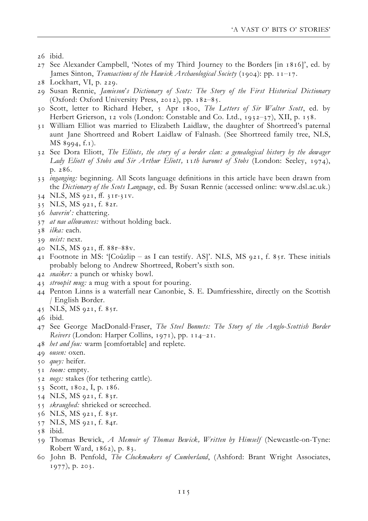- 27 See Alexander Campbell, 'Notes of my Third Journey to the Borders [in 1816]', ed. by James Sinton, *Transactions of the Hawick Archaeological Society* (1904): pp.  $11-17$ .
- 28 Lockhart, VI, p. 229.
- 29 Susan Rennie, Jamieson's Dictionary of Scots: The Story of the First Historical Dictionary (Oxford: Oxford University Press, 2012), pp.  $182-85$ .
- 30 Scott, letter to Richard Heber, 5 Apr 1800, The Letters of Sir Walter Scott, ed. by Herbert Grierson, 12 vols (London: Constable and Co. Ltd., 1932-37), XII, p. 158.
- 31 William Elliot was married to Elizabeth Laidlaw, the daughter of Shortreed's paternal aunt Jane Shortreed and Robert Laidlaw of Falnash. (See Shortreed family tree, NLS, MS 8994, f.1).
- 32 See Dora Eliott, The Elliots, the story of a border clan: a genealogical history by the dowager Lady Eliott of Stobs and Sir Arthur Eliott, 11th baronet of Stobs (London: Seeley, 1974), p. 286.
- 33 inganging: beginning. All Scots language definitions in this article have been drawn from the Dictionary of the Scots Language, ed. By Susan Rennie (accessed online: www.dsl.ac.uk.)
- 34 NLS, MS 921, ff. 311-31V.
- 35 NLS, MS 921, f. 82r.
- 36 haverin': chattering.
- 37 at nae allowances: without holding back.
- 38 ilka: each.
- 39 neist: next.
- 40 NLS, MS 921, ff. 88r-88v.
- 41 Footnote in MS: '[Coûzlip as I can testify. AS]'. NLS, MS 921, f. 85r. These initials probably belong to Andrew Shortreed, Robert's sixth son.
- 42 snaiker: a punch or whisky bowl.
- 43 stroopit mug: a mug with a spout for pouring.
- 44 Penton Linns is a waterfall near Canonbie, S. E. Dumfriesshire, directly on the Scottish / English Border.
- 45 NLS, MS 921, f. 85r.
- 46 ibid.
- 47 See George MacDonald-Fraser, The Steel Bonnets: The Story of the Anglo-Scottish Border Reivers (London: Harper Collins, 1971), pp. 114-21.
- 48 het and fou: warm [comfortable] and replete.
- 49 ousen: oxen.
- 50 *quey*: heifer.
- 51 toom: empty.
- 52 *nogs*: stakes (for tethering cattle).
- 53 Scott, 1802, I, p. 186.
- 54 NLS, MS 921, f. 83r.
- 55 skraughed: shrieked or screeched.
- 56 NLS, MS 921, f. 83r.
- 57 NLS, MS 921, f. 84r.
- 58 ibid.
- 59 Thomas Bewick, A Memoir of Thomas Bewick, Written by Himself (Newcastle-on-Tyne: Robert Ward, 1862), p. 83.
- 60 John B. Penfold, The Clockmakers of Cumberland, (Ashford: Brant Wright Associates, 1977), p. 203.

<sup>26</sup> ibid.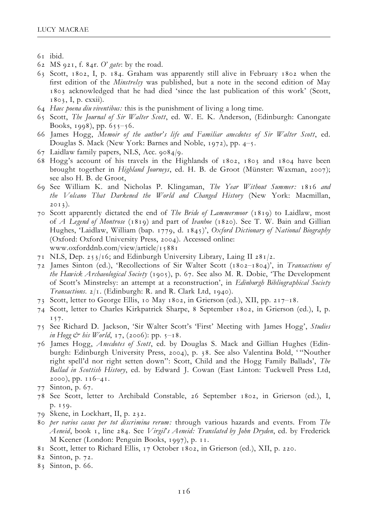- 61 ibid.
- 62 MS 921, f. 84r. O' gate: by the road.
- 63 Scott, 1802, I, p. 184. Graham was apparently still alive in February 1802 when the first edition of the *Minstrelsy* was published, but a note in the second edition of May 1803 acknowledged that he had died 'since the last publication of this work' (Scott, 1803, I, p. cxxii).
- 64 Haec poena diu viventibus: this is the punishment of living a long time.
- 65 Scott, The Journal of Sir Walter Scott, ed. W. E. K. Anderson, (Edinburgh: Canongate Books, 1998), pp.  $655-56$ .
- 66 James Hogg, Memoir of the author's life and Familiar anecdotes of Sir Walter Scott, ed. Douglas S. Mack (New York: Barnes and Noble, 1972), pp.  $4-5$ .
- 67 Laidlaw family papers, NLS, Acc. 9084/9.
- 68 Hogg's account of his travels in the Highlands of 1802, 1803 and 1804 have been brought together in Highland Journeys, ed. H. B. de Groot (Münster: Waxman, 2007); see also H. B. de Groot,
- 69 See William K. and Nicholas P. Klingaman, The Year Without Summer: 1816 and the Volcano That Darkened the World and Changed History (New York: Macmillan, 2013).
- 70 Scott apparently dictated the end of The Bride of Lammermoor (1819) to Laidlaw, most of A Legend of Montrose (1819) and part of Ivanhoe (1820). See T. W. Bain and Gillian Hughes, 'Laidlaw, William (bap. 1779, d. 1845)', Oxford Dictionary of National Biography (Oxford: Oxford University Press, 2004). Accessed online: www.oxforddnb.com/view/article/15881
- 71 NLS, Dep. 253/16; and Edinburgh University Library, Laing II 281/2.
- 72 James Sinton (ed.), 'Recollections of Sir Walter Scott (1802^1804)', in Transactions of the Hawick Archaeological Society (1905), p. 67. See also M. R. Dobie, 'The Development of Scott's Minstrelsy: an attempt at a reconstruction', in Edinburgh Bibliographical Society Transactions. 2/1. (Edinburgh: R. and R. Clark Ltd, 1940).
- 73 Scott, letter to George Ellis, 10 May 1802, in Grierson (ed.), XII, pp. 217^18.
- 74 Scott, letter to Charles Kirkpatrick Sharpe, 8 September 1802, in Grierson (ed.), I, p. 157.
- 75 See Richard D. Jackson, 'Sir Walter Scott's 'First' Meeting with James Hogg', Studies in Hogg  $\dot{\mathcal{C}}^*$  his World, 17, (2006): pp.  $5^{-18}$ .
- 76 James Hogg, Anecdotes of Scott, ed. by Douglas S. Mack and Gillian Hughes (Edinburgh: Edinburgh University Press, 2004), p. 38. See also Valentina Bold, ' ''Nouther right spell'd nor right setten down'': Scott, Child and the Hogg Family Ballads', The Ballad in Scottish History, ed. by Edward J. Cowan (East Linton: Tuckwell Press Ltd,  $2000$ , pp.  $116-41$ .
- 77 Sinton, p. 67.
- 78 See Scott, letter to Archibald Constable, 26 September 1802, in Grierson (ed.), I, p. 159.
- 79 Skene, in Lockhart, II, p. 232.
- 80 per varios casus per tot discrimina rerum: through various hazards and events. From The Aeneid, book 1, line 284. See Virgil's Aeneid: Translated by John Dryden, ed. by Frederick M Keener (London: Penguin Books, 1997), p. 11.
- 81 Scott, letter to Richard Ellis, 17 October 1802, in Grierson (ed.), XII, p. 220.
- 82 Sinton, p. 72.
- 83 Sinton, p. 66.